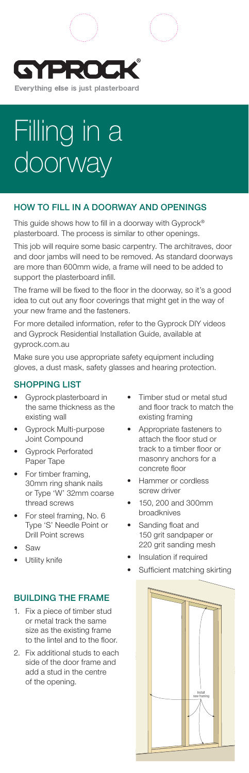



# HOW TO FILL IN A DOORWAY AND OPENINGS

This guide shows how to fill in a doorway with Gyprock® plasterboard. The process is similar to other openings.

This job will require some basic carpentry. The architraves, door and door jambs will need to be removed. As standard doorways are more than 600mm wide, a frame will need to be added to support the plasterboard infill.

The frame will be fixed to the floor in the doorway, so it's a good idea to cut out any floor coverings that might get in the way of your new frame and the fasteners.

For more detailed information, refer to the Gyprock DIY videos and Gyprock Residential Installation Guide, available at gyprock.com.au

Make sure you use appropriate safety equipment including gloves, a dust mask, safety glasses and hearing protection.

#### SHOPPING LIST

- Gyprock plasterboard in the same thickness as the existing wall
- Gyprock Multi-purpose Joint Compound
- Gyprock Perforated Paper Tape
- For timber framing, 30mm ring shank nails or Type 'W' 32mm coarse thread screws
- For steel framing, No. 6 Type 'S' Needle Point or Drill Point screws
- Saw
- Utility knife

### BUILDING THE FRAME

- Fix a piece of timber stud or metal track the same size as the existing frame to the lintel and to the floor.
- 2. Fix additional studs to each side of the door frame and add a stud in the centre of the opening.
- Timber stud or metal stud and floor track to match the existing framing
- Appropriate fasteners to attach the floor stud or track to a timber floor or masonry anchors for a concrete floor
- Hammer or cordless screw driver
- 150, 200 and 300mm broadknives
- Sanding float and 150 grit sandpaper or 220 grit sanding mesh
- Insulation if required
- Sufficient matching skirting